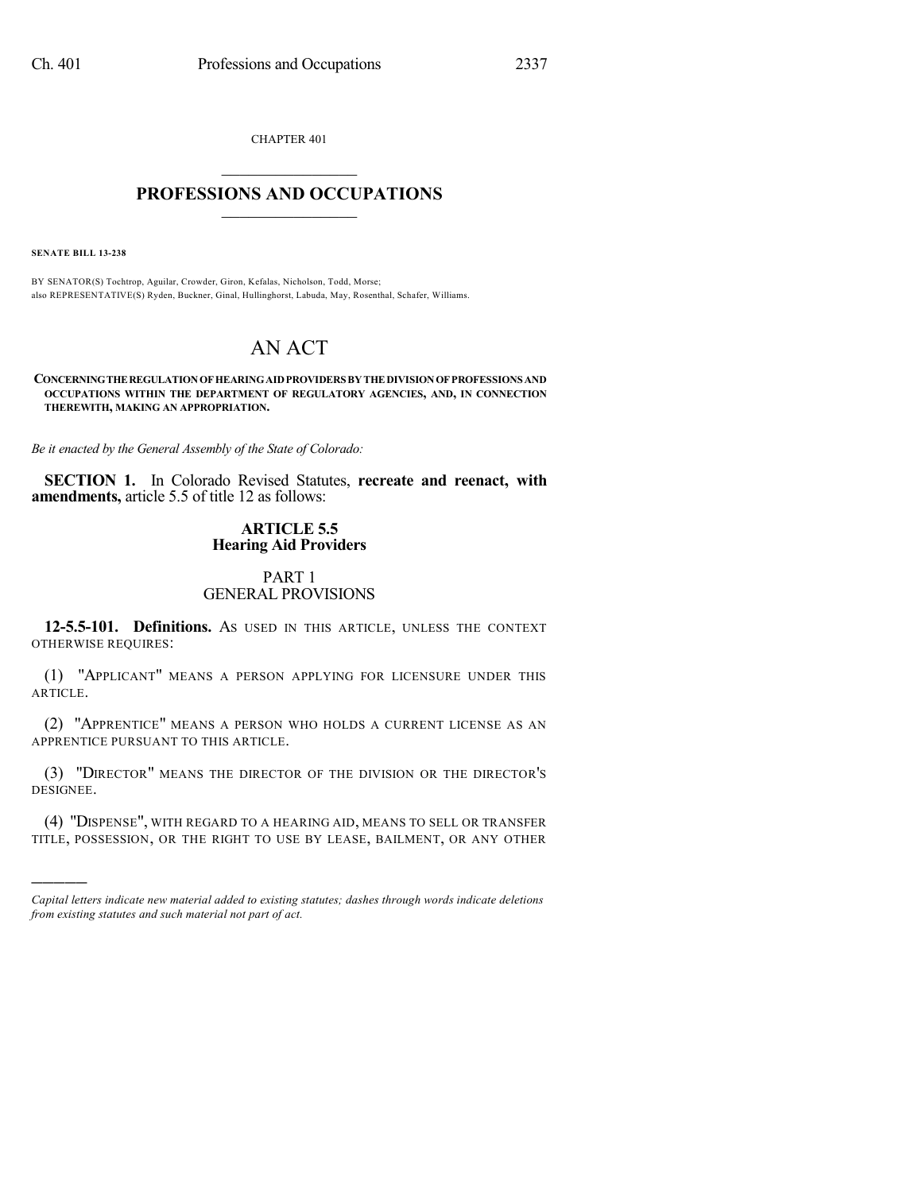CHAPTER 401  $\mathcal{L}_\text{max}$  . The set of the set of the set of the set of the set of the set of the set of the set of the set of the set of the set of the set of the set of the set of the set of the set of the set of the set of the set

# **PROFESSIONS AND OCCUPATIONS**  $\frac{1}{2}$  ,  $\frac{1}{2}$  ,  $\frac{1}{2}$  ,  $\frac{1}{2}$  ,  $\frac{1}{2}$  ,  $\frac{1}{2}$

**SENATE BILL 13-238**

)))))

BY SENATOR(S) Tochtrop, Aguilar, Crowder, Giron, Kefalas, Nicholson, Todd, Morse; also REPRESENTATIVE(S) Ryden, Buckner, Ginal, Hullinghorst, Labuda, May, Rosenthal, Schafer, Williams.

# AN ACT

**CONCERNINGTHEREGULATIONOF HEARINGAIDPROVIDERS BY THE DIVISIONOF PROFESSIONS AND OCCUPATIONS WITHIN THE DEPARTMENT OF REGULATORY AGENCIES, AND, IN CONNECTION THEREWITH, MAKING AN APPROPRIATION.**

*Be it enacted by the General Assembly of the State of Colorado:*

**SECTION 1.** In Colorado Revised Statutes, **recreate and reenact, with amendments,** article 5.5 of title 12 as follows:

# **ARTICLE 5.5 Hearing Aid Providers**

## PART 1 GENERAL PROVISIONS

**12-5.5-101. Definitions.** AS USED IN THIS ARTICLE, UNLESS THE CONTEXT OTHERWISE REQUIRES:

(1) "APPLICANT" MEANS A PERSON APPLYING FOR LICENSURE UNDER THIS ARTICLE.

(2) "APPRENTICE" MEANS A PERSON WHO HOLDS A CURRENT LICENSE AS AN APPRENTICE PURSUANT TO THIS ARTICLE.

(3) "DIRECTOR" MEANS THE DIRECTOR OF THE DIVISION OR THE DIRECTOR'S DESIGNEE.

(4) "DISPENSE", WITH REGARD TO A HEARING AID, MEANS TO SELL OR TRANSFER TITLE, POSSESSION, OR THE RIGHT TO USE BY LEASE, BAILMENT, OR ANY OTHER

*Capital letters indicate new material added to existing statutes; dashes through words indicate deletions from existing statutes and such material not part of act.*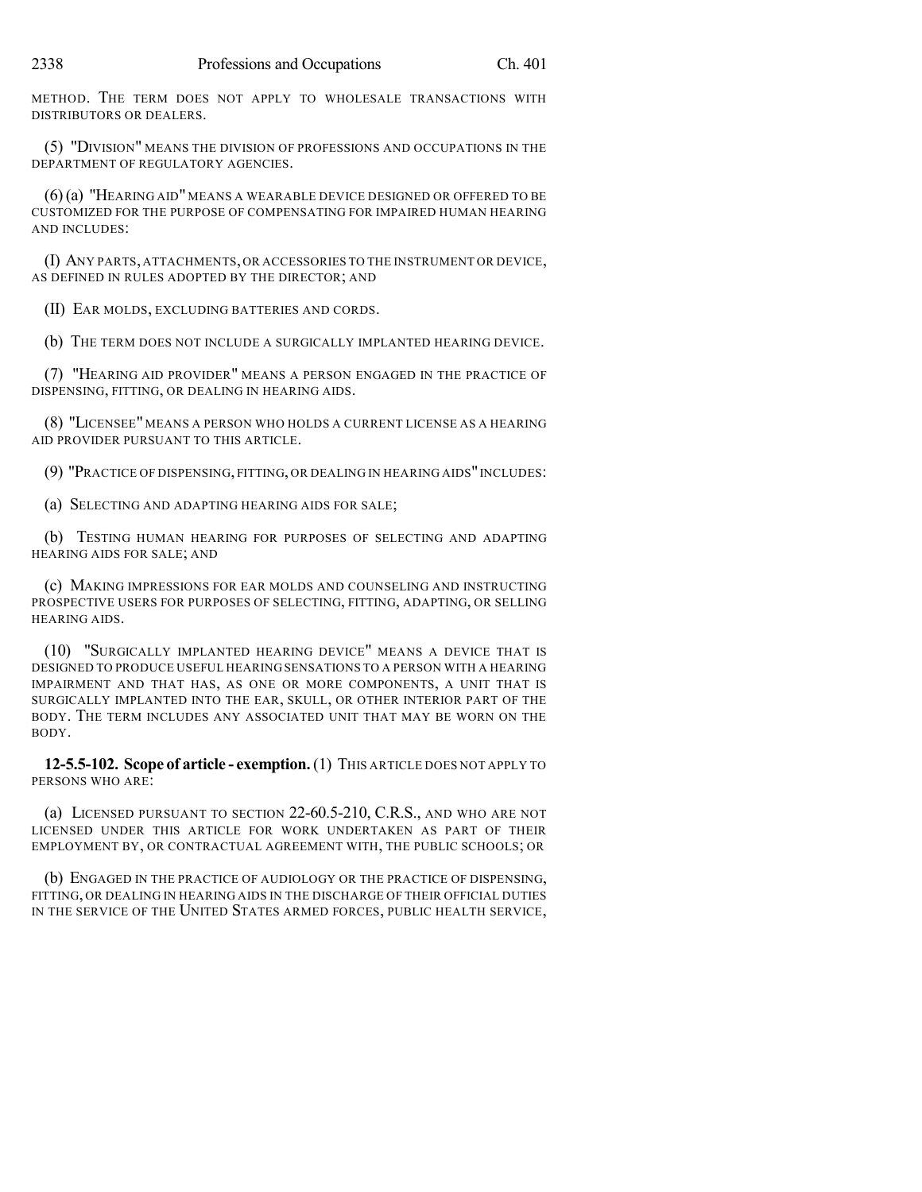METHOD. THE TERM DOES NOT APPLY TO WHOLESALE TRANSACTIONS WITH DISTRIBUTORS OR DEALERS.

(5) "DIVISION" MEANS THE DIVISION OF PROFESSIONS AND OCCUPATIONS IN THE DEPARTMENT OF REGULATORY AGENCIES.

(6)(a) "HEARING AID" MEANS A WEARABLE DEVICE DESIGNED OR OFFERED TO BE CUSTOMIZED FOR THE PURPOSE OF COMPENSATING FOR IMPAIRED HUMAN HEARING AND INCLUDES:

(I) ANY PARTS, ATTACHMENTS, OR ACCESSORIES TO THE INSTRUMENT OR DEVICE, AS DEFINED IN RULES ADOPTED BY THE DIRECTOR; AND

(II) EAR MOLDS, EXCLUDING BATTERIES AND CORDS.

(b) THE TERM DOES NOT INCLUDE A SURGICALLY IMPLANTED HEARING DEVICE.

(7) "HEARING AID PROVIDER" MEANS A PERSON ENGAGED IN THE PRACTICE OF DISPENSING, FITTING, OR DEALING IN HEARING AIDS.

(8) "LICENSEE" MEANS A PERSON WHO HOLDS A CURRENT LICENSE AS A HEARING AID PROVIDER PURSUANT TO THIS ARTICLE.

(9) "PRACTICE OF DISPENSING, FITTING, OR DEALING IN HEARING AIDS"INCLUDES:

(a) SELECTING AND ADAPTING HEARING AIDS FOR SALE;

(b) TESTING HUMAN HEARING FOR PURPOSES OF SELECTING AND ADAPTING HEARING AIDS FOR SALE; AND

(c) MAKING IMPRESSIONS FOR EAR MOLDS AND COUNSELING AND INSTRUCTING PROSPECTIVE USERS FOR PURPOSES OF SELECTING, FITTING, ADAPTING, OR SELLING HEARING AIDS.

(10) "SURGICALLY IMPLANTED HEARING DEVICE" MEANS A DEVICE THAT IS DESIGNED TO PRODUCE USEFUL HEARING SENSATIONS TO A PERSON WITH A HEARING IMPAIRMENT AND THAT HAS, AS ONE OR MORE COMPONENTS, A UNIT THAT IS SURGICALLY IMPLANTED INTO THE EAR, SKULL, OR OTHER INTERIOR PART OF THE BODY. THE TERM INCLUDES ANY ASSOCIATED UNIT THAT MAY BE WORN ON THE BODY.

**12-5.5-102. Scope of article - exemption.**(1) THIS ARTICLE DOES NOT APPLY TO PERSONS WHO ARE:

(a) LICENSED PURSUANT TO SECTION 22-60.5-210, C.R.S., AND WHO ARE NOT LICENSED UNDER THIS ARTICLE FOR WORK UNDERTAKEN AS PART OF THEIR EMPLOYMENT BY, OR CONTRACTUAL AGREEMENT WITH, THE PUBLIC SCHOOLS; OR

(b) ENGAGED IN THE PRACTICE OF AUDIOLOGY OR THE PRACTICE OF DISPENSING, FITTING, OR DEALING IN HEARING AIDS IN THE DISCHARGE OF THEIR OFFICIAL DUTIES IN THE SERVICE OF THE UNITED STATES ARMED FORCES, PUBLIC HEALTH SERVICE,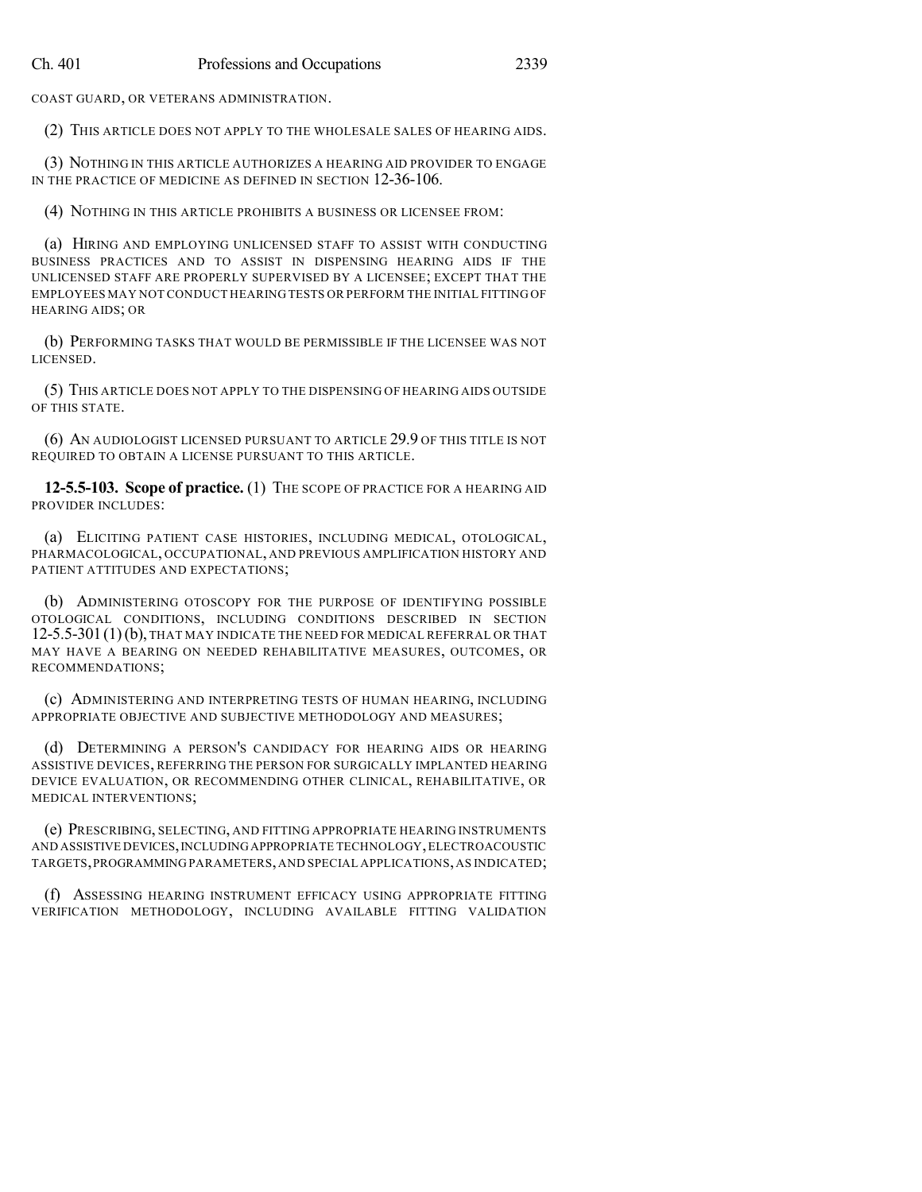COAST GUARD, OR VETERANS ADMINISTRATION.

(2) THIS ARTICLE DOES NOT APPLY TO THE WHOLESALE SALES OF HEARING AIDS.

(3) NOTHING IN THIS ARTICLE AUTHORIZES A HEARING AID PROVIDER TO ENGAGE IN THE PRACTICE OF MEDICINE AS DEFINED IN SECTION 12-36-106.

(4) NOTHING IN THIS ARTICLE PROHIBITS A BUSINESS OR LICENSEE FROM:

(a) HIRING AND EMPLOYING UNLICENSED STAFF TO ASSIST WITH CONDUCTING BUSINESS PRACTICES AND TO ASSIST IN DISPENSING HEARING AIDS IF THE UNLICENSED STAFF ARE PROPERLY SUPERVISED BY A LICENSEE; EXCEPT THAT THE EMPLOYEES MAY NOT CONDUCT HEARING TESTS OR PERFORM THE INITIAL FITTING OF HEARING AIDS; OR

(b) PERFORMING TASKS THAT WOULD BE PERMISSIBLE IF THE LICENSEE WAS NOT LICENSED.

(5) THIS ARTICLE DOES NOT APPLY TO THE DISPENSING OF HEARING AIDS OUTSIDE OF THIS STATE.

(6) AN AUDIOLOGIST LICENSED PURSUANT TO ARTICLE 29.9 OF THIS TITLE IS NOT REQUIRED TO OBTAIN A LICENSE PURSUANT TO THIS ARTICLE.

**12-5.5-103. Scope of practice.** (1) THE SCOPE OF PRACTICE FOR A HEARING AID PROVIDER INCLUDES:

(a) ELICITING PATIENT CASE HISTORIES, INCLUDING MEDICAL, OTOLOGICAL, PHARMACOLOGICAL, OCCUPATIONAL, AND PREVIOUS AMPLIFICATION HISTORY AND PATIENT ATTITUDES AND EXPECTATIONS;

(b) ADMINISTERING OTOSCOPY FOR THE PURPOSE OF IDENTIFYING POSSIBLE OTOLOGICAL CONDITIONS, INCLUDING CONDITIONS DESCRIBED IN SECTION 12-5.5-301(1)(b), THAT MAY INDICATE THE NEED FOR MEDICAL REFERRAL OR THAT MAY HAVE A BEARING ON NEEDED REHABILITATIVE MEASURES, OUTCOMES, OR RECOMMENDATIONS;

(c) ADMINISTERING AND INTERPRETING TESTS OF HUMAN HEARING, INCLUDING APPROPRIATE OBJECTIVE AND SUBJECTIVE METHODOLOGY AND MEASURES;

(d) DETERMINING A PERSON'S CANDIDACY FOR HEARING AIDS OR HEARING ASSISTIVE DEVICES, REFERRING THE PERSON FOR SURGICALLY IMPLANTED HEARING DEVICE EVALUATION, OR RECOMMENDING OTHER CLINICAL, REHABILITATIVE, OR MEDICAL INTERVENTIONS;

(e) PRESCRIBING, SELECTING, AND FITTING APPROPRIATE HEARING INSTRUMENTS AND ASSISTIVE DEVICES,INCLUDINGAPPROPRIATE TECHNOLOGY,ELECTROACOUSTIC TARGETS,PROGRAMMING PARAMETERS,AND SPECIAL APPLICATIONS,AS INDICATED;

(f) ASSESSING HEARING INSTRUMENT EFFICACY USING APPROPRIATE FITTING VERIFICATION METHODOLOGY, INCLUDING AVAILABLE FITTING VALIDATION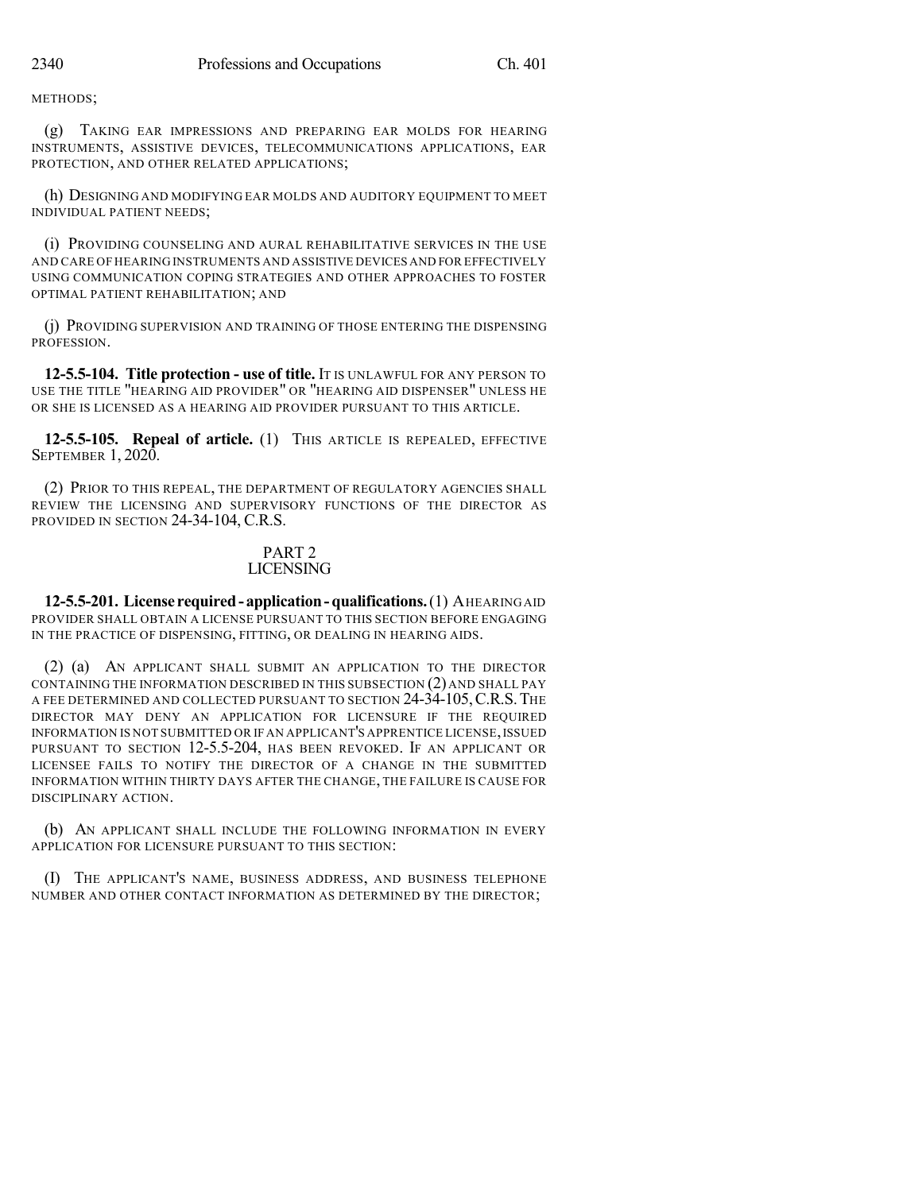METHODS;

(g) TAKING EAR IMPRESSIONS AND PREPARING EAR MOLDS FOR HEARING INSTRUMENTS, ASSISTIVE DEVICES, TELECOMMUNICATIONS APPLICATIONS, EAR PROTECTION, AND OTHER RELATED APPLICATIONS;

(h) DESIGNING AND MODIFYING EAR MOLDS AND AUDITORY EQUIPMENT TO MEET INDIVIDUAL PATIENT NEEDS;

(i) PROVIDING COUNSELING AND AURAL REHABILITATIVE SERVICES IN THE USE AND CARE OF HEARING INSTRUMENTS AND ASSISTIVE DEVICES AND FOR EFFECTIVELY USING COMMUNICATION COPING STRATEGIES AND OTHER APPROACHES TO FOSTER OPTIMAL PATIENT REHABILITATION; AND

(j) PROVIDING SUPERVISION AND TRAINING OF THOSE ENTERING THE DISPENSING PROFESSION.

**12-5.5-104. Title protection - use of title.** IT IS UNLAWFUL FOR ANY PERSON TO USE THE TITLE "HEARING AID PROVIDER" OR "HEARING AID DISPENSER" UNLESS HE OR SHE IS LICENSED AS A HEARING AID PROVIDER PURSUANT TO THIS ARTICLE.

**12-5.5-105. Repeal of article.** (1) THIS ARTICLE IS REPEALED, EFFECTIVE SEPTEMBER 1, 2020.

(2) PRIOR TO THIS REPEAL, THE DEPARTMENT OF REGULATORY AGENCIES SHALL REVIEW THE LICENSING AND SUPERVISORY FUNCTIONS OF THE DIRECTOR AS PROVIDED IN SECTION 24-34-104, C.R.S.

#### PART 2 LICENSING

**12-5.5-201. License required- application-qualifications.**(1) AHEARING AID PROVIDER SHALL OBTAIN A LICENSE PURSUANT TO THIS SECTION BEFORE ENGAGING IN THE PRACTICE OF DISPENSING, FITTING, OR DEALING IN HEARING AIDS.

(2) (a) AN APPLICANT SHALL SUBMIT AN APPLICATION TO THE DIRECTOR CONTAINING THE INFORMATION DESCRIBED IN THIS SUBSECTION (2) AND SHALL PAY A FEE DETERMINED AND COLLECTED PURSUANT TO SECTION 24-34-105,C.R.S.THE DIRECTOR MAY DENY AN APPLICATION FOR LICENSURE IF THE REQUIRED INFORMATION IS NOT SUBMITTED OR IF AN APPLICANT'S APPRENTICE LICENSE,ISSUED PURSUANT TO SECTION 12-5.5-204, HAS BEEN REVOKED. IF AN APPLICANT OR LICENSEE FAILS TO NOTIFY THE DIRECTOR OF A CHANGE IN THE SUBMITTED INFORMATION WITHIN THIRTY DAYS AFTER THE CHANGE, THE FAILURE IS CAUSE FOR DISCIPLINARY ACTION.

(b) AN APPLICANT SHALL INCLUDE THE FOLLOWING INFORMATION IN EVERY APPLICATION FOR LICENSURE PURSUANT TO THIS SECTION:

(I) THE APPLICANT'S NAME, BUSINESS ADDRESS, AND BUSINESS TELEPHONE NUMBER AND OTHER CONTACT INFORMATION AS DETERMINED BY THE DIRECTOR;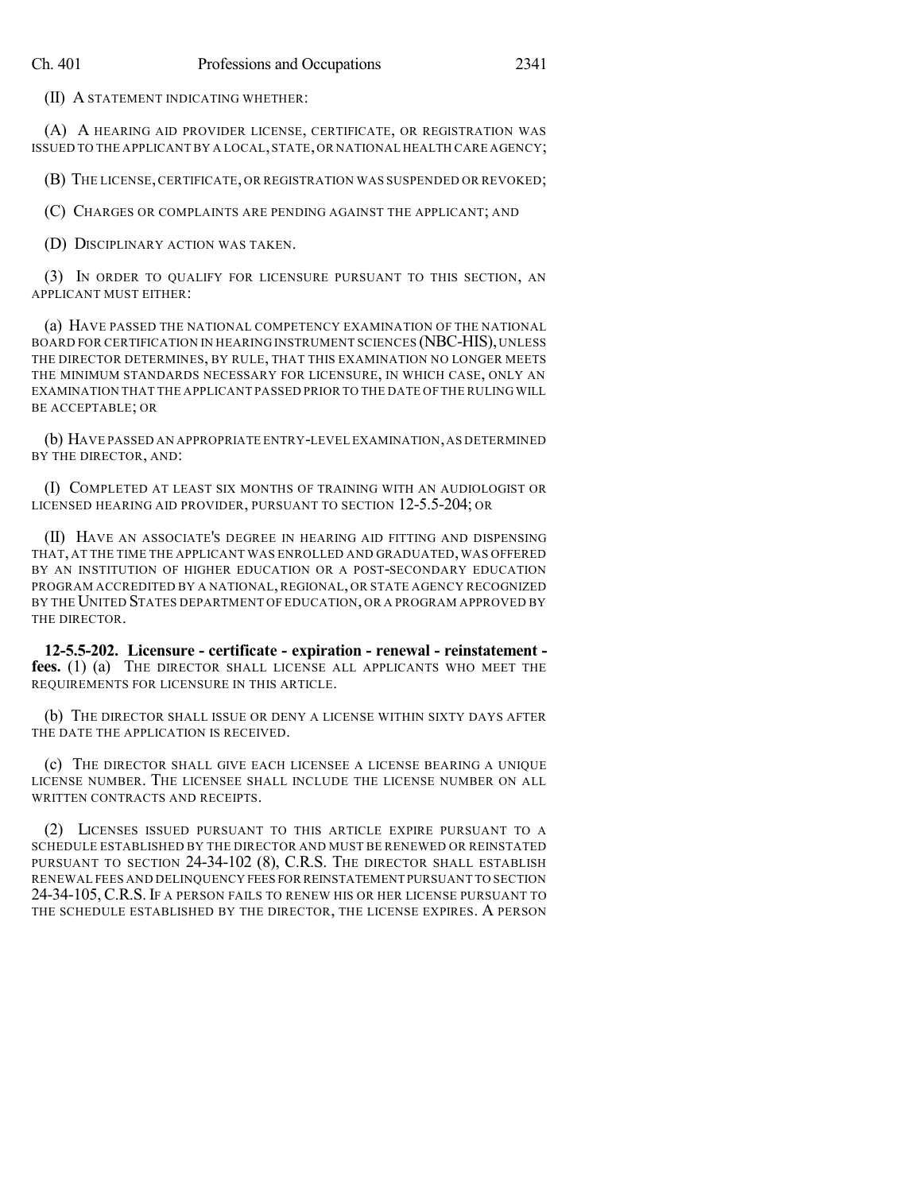(II) A STATEMENT INDICATING WHETHER:

(A) A HEARING AID PROVIDER LICENSE, CERTIFICATE, OR REGISTRATION WAS ISSUED TO THE APPLICANTBY A LOCAL,STATE,OR NATIONAL HEALTH CARE AGENCY;

(B) THE LICENSE,CERTIFICATE, OR REGISTRATION WAS SUSPENDED OR REVOKED;

(C) CHARGES OR COMPLAINTS ARE PENDING AGAINST THE APPLICANT; AND

(D) DISCIPLINARY ACTION WAS TAKEN.

(3) IN ORDER TO QUALIFY FOR LICENSURE PURSUANT TO THIS SECTION, AN APPLICANT MUST EITHER:

(a) HAVE PASSED THE NATIONAL COMPETENCY EXAMINATION OF THE NATIONAL BOARD FOR CERTIFICATION IN HEARING INSTRUMENT SCIENCES (NBC-HIS), UNLESS THE DIRECTOR DETERMINES, BY RULE, THAT THIS EXAMINATION NO LONGER MEETS THE MINIMUM STANDARDS NECESSARY FOR LICENSURE, IN WHICH CASE, ONLY AN EXAMINATION THAT THE APPLICANT PASSED PRIOR TO THE DATE OF THE RULING WILL BE ACCEPTABLE; OR

(b) HAVE PASSED AN APPROPRIATE ENTRY-LEVEL EXAMINATION,AS DETERMINED BY THE DIRECTOR, AND:

(I) COMPLETED AT LEAST SIX MONTHS OF TRAINING WITH AN AUDIOLOGIST OR LICENSED HEARING AID PROVIDER, PURSUANT TO SECTION 12-5.5-204; OR

(II) HAVE AN ASSOCIATE'S DEGREE IN HEARING AID FITTING AND DISPENSING THAT, AT THE TIME THE APPLICANT WAS ENROLLED AND GRADUATED, WAS OFFERED BY AN INSTITUTION OF HIGHER EDUCATION OR A POST-SECONDARY EDUCATION PROGRAM ACCREDITED BY A NATIONAL, REGIONAL, OR STATE AGENCY RECOGNIZED BY THE UNITED STATES DEPARTMENT OF EDUCATION, OR A PROGRAM APPROVED BY THE DIRECTOR.

**12-5.5-202. Licensure - certificate - expiration - renewal - reinstatement fees.** (1) (a) THE DIRECTOR SHALL LICENSE ALL APPLICANTS WHO MEET THE REQUIREMENTS FOR LICENSURE IN THIS ARTICLE.

(b) THE DIRECTOR SHALL ISSUE OR DENY A LICENSE WITHIN SIXTY DAYS AFTER THE DATE THE APPLICATION IS RECEIVED.

(c) THE DIRECTOR SHALL GIVE EACH LICENSEE A LICENSE BEARING A UNIQUE LICENSE NUMBER. THE LICENSEE SHALL INCLUDE THE LICENSE NUMBER ON ALL WRITTEN CONTRACTS AND RECEIPTS.

(2) LICENSES ISSUED PURSUANT TO THIS ARTICLE EXPIRE PURSUANT TO A SCHEDULE ESTABLISHED BY THE DIRECTOR AND MUST BE RENEWED OR REINSTATED PURSUANT TO SECTION 24-34-102 (8), C.R.S. THE DIRECTOR SHALL ESTABLISH RENEWAL FEES AND DELINQUENCY FEES FOR REINSTATEMENT PURSUANT TO SECTION 24-34-105, C.R.S. IF A PERSON FAILS TO RENEW HIS OR HER LICENSE PURSUANT TO THE SCHEDULE ESTABLISHED BY THE DIRECTOR, THE LICENSE EXPIRES. A PERSON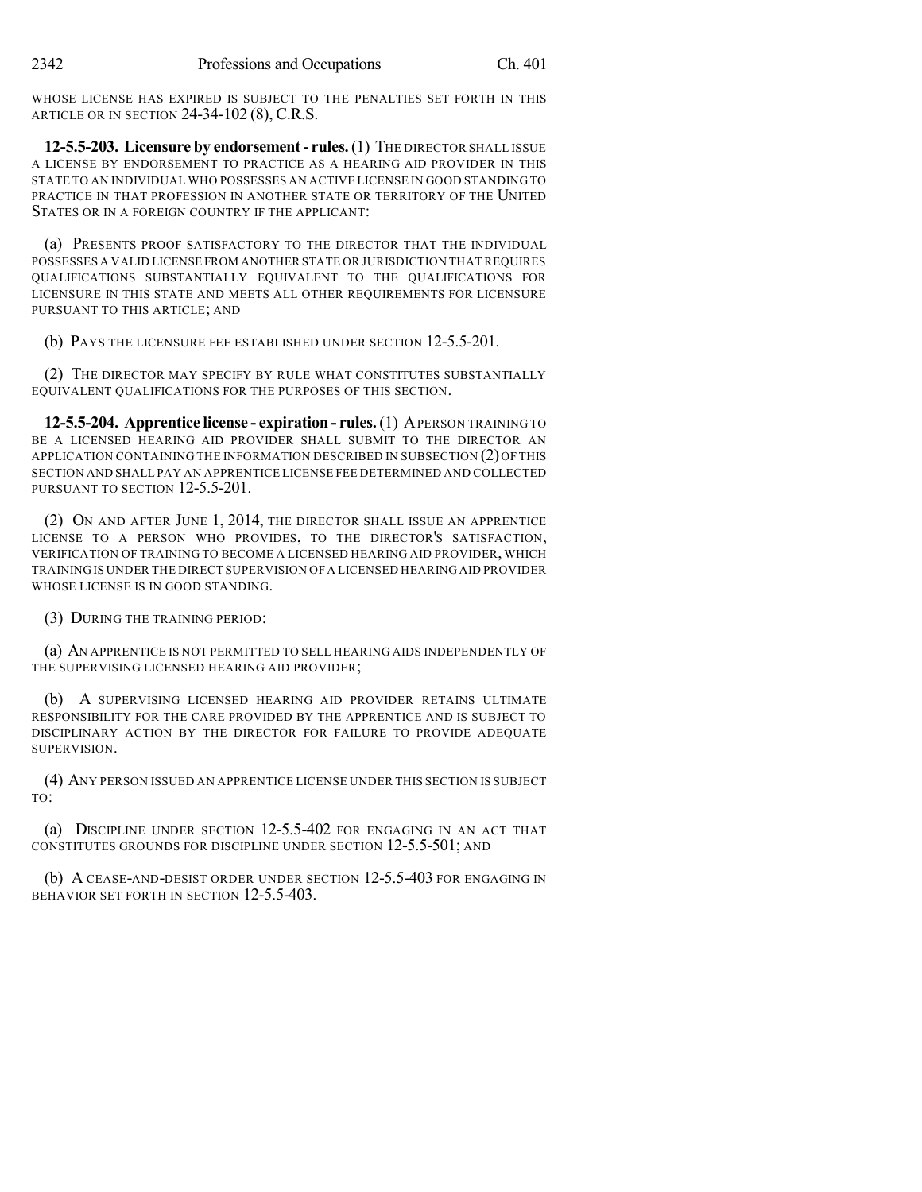WHOSE LICENSE HAS EXPIRED IS SUBJECT TO THE PENALTIES SET FORTH IN THIS ARTICLE OR IN SECTION 24-34-102 (8), C.R.S.

**12-5.5-203. Licensure by endorsement- rules.**(1) THE DIRECTOR SHALL ISSUE A LICENSE BY ENDORSEMENT TO PRACTICE AS A HEARING AID PROVIDER IN THIS STATE TO AN INDIVIDUAL WHO POSSESSES AN ACTIVE LICENSE IN GOOD STANDING TO PRACTICE IN THAT PROFESSION IN ANOTHER STATE OR TERRITORY OF THE UNITED STATES OR IN A FOREIGN COUNTRY IF THE APPLICANT:

(a) PRESENTS PROOF SATISFACTORY TO THE DIRECTOR THAT THE INDIVIDUAL POSSESSES A VALID LICENSE FROM ANOTHER STATE OR JURISDICTION THAT REQUIRES QUALIFICATIONS SUBSTANTIALLY EQUIVALENT TO THE QUALIFICATIONS FOR LICENSURE IN THIS STATE AND MEETS ALL OTHER REQUIREMENTS FOR LICENSURE PURSUANT TO THIS ARTICLE; AND

(b) PAYS THE LICENSURE FEE ESTABLISHED UNDER SECTION 12-5.5-201.

(2) THE DIRECTOR MAY SPECIFY BY RULE WHAT CONSTITUTES SUBSTANTIALLY EQUIVALENT QUALIFICATIONS FOR THE PURPOSES OF THIS SECTION.

**12-5.5-204. Apprentice license - expiration - rules.**(1) APERSON TRAINING TO BE A LICENSED HEARING AID PROVIDER SHALL SUBMIT TO THE DIRECTOR AN APPLICATION CONTAINING THE INFORMATION DESCRIBED IN SUBSECTION (2) OF THIS SECTION AND SHALL PAY AN APPRENTICE LICENSE FEE DETERMINED AND COLLECTED PURSUANT TO SECTION 12-5.5-201.

(2) ON AND AFTER JUNE 1, 2014, THE DIRECTOR SHALL ISSUE AN APPRENTICE LICENSE TO A PERSON WHO PROVIDES, TO THE DIRECTOR'S SATISFACTION, VERIFICATION OF TRAINING TO BECOME A LICENSED HEARING AID PROVIDER, WHICH TRAINING IS UNDER THE DIRECT SUPERVISION OF A LICENSED HEARING AID PROVIDER WHOSE LICENSE IS IN GOOD STANDING.

(3) DURING THE TRAINING PERIOD:

(a) AN APPRENTICE IS NOT PERMITTED TO SELL HEARING AIDS INDEPENDENTLY OF THE SUPERVISING LICENSED HEARING AID PROVIDER;

(b) A SUPERVISING LICENSED HEARING AID PROVIDER RETAINS ULTIMATE RESPONSIBILITY FOR THE CARE PROVIDED BY THE APPRENTICE AND IS SUBJECT TO DISCIPLINARY ACTION BY THE DIRECTOR FOR FAILURE TO PROVIDE ADEQUATE SUPERVISION.

(4) ANY PERSON ISSUED AN APPRENTICE LICENSE UNDER THIS SECTION IS SUBJECT TO:

(a) DISCIPLINE UNDER SECTION 12-5.5-402 FOR ENGAGING IN AN ACT THAT CONSTITUTES GROUNDS FOR DISCIPLINE UNDER SECTION 12-5.5-501; AND

(b) A CEASE-AND-DESIST ORDER UNDER SECTION 12-5.5-403 FOR ENGAGING IN BEHAVIOR SET FORTH IN SECTION 12-5.5-403.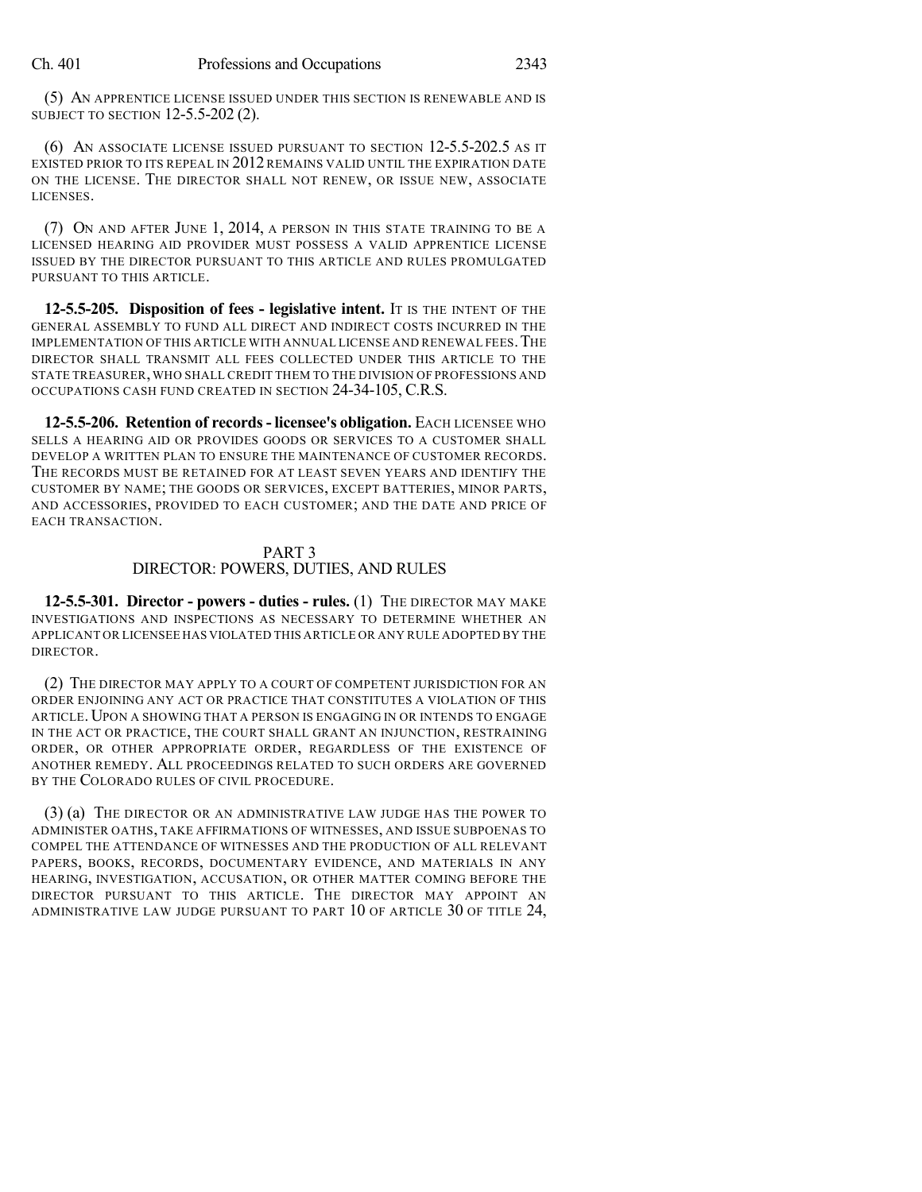(5) AN APPRENTICE LICENSE ISSUED UNDER THIS SECTION IS RENEWABLE AND IS SUBJECT TO SECTION 12-5.5-202 (2).

(6) AN ASSOCIATE LICENSE ISSUED PURSUANT TO SECTION 12-5.5-202.5 AS IT EXISTED PRIOR TO ITS REPEAL IN 2012 REMAINS VALID UNTIL THE EXPIRATION DATE ON THE LICENSE. THE DIRECTOR SHALL NOT RENEW, OR ISSUE NEW, ASSOCIATE LICENSES.

(7) ON AND AFTER JUNE 1, 2014, A PERSON IN THIS STATE TRAINING TO BE A LICENSED HEARING AID PROVIDER MUST POSSESS A VALID APPRENTICE LICENSE ISSUED BY THE DIRECTOR PURSUANT TO THIS ARTICLE AND RULES PROMULGATED PURSUANT TO THIS ARTICLE.

**12-5.5-205. Disposition of fees - legislative intent.** IT IS THE INTENT OF THE GENERAL ASSEMBLY TO FUND ALL DIRECT AND INDIRECT COSTS INCURRED IN THE IMPLEMENTATION OF THIS ARTICLE WITH ANNUAL LICENSE AND RENEWAL FEES.THE DIRECTOR SHALL TRANSMIT ALL FEES COLLECTED UNDER THIS ARTICLE TO THE STATE TREASURER,WHO SHALL CREDIT THEM TO THE DIVISION OF PROFESSIONS AND OCCUPATIONS CASH FUND CREATED IN SECTION 24-34-105, C.R.S.

**12-5.5-206. Retention of records- licensee's obligation.** EACH LICENSEE WHO SELLS A HEARING AID OR PROVIDES GOODS OR SERVICES TO A CUSTOMER SHALL DEVELOP A WRITTEN PLAN TO ENSURE THE MAINTENANCE OF CUSTOMER RECORDS. THE RECORDS MUST BE RETAINED FOR AT LEAST SEVEN YEARS AND IDENTIFY THE CUSTOMER BY NAME; THE GOODS OR SERVICES, EXCEPT BATTERIES, MINOR PARTS, AND ACCESSORIES, PROVIDED TO EACH CUSTOMER; AND THE DATE AND PRICE OF EACH TRANSACTION.

## PART 3 DIRECTOR: POWERS, DUTIES, AND RULES

**12-5.5-301. Director - powers - duties - rules.** (1) THE DIRECTOR MAY MAKE INVESTIGATIONS AND INSPECTIONS AS NECESSARY TO DETERMINE WHETHER AN APPLICANT OR LICENSEE HAS VIOLATED THIS ARTICLE OR ANY RULE ADOPTED BY THE DIRECTOR.

(2) THE DIRECTOR MAY APPLY TO A COURT OF COMPETENT JURISDICTION FOR AN ORDER ENJOINING ANY ACT OR PRACTICE THAT CONSTITUTES A VIOLATION OF THIS ARTICLE. UPON A SHOWING THAT A PERSON IS ENGAGING IN OR INTENDS TO ENGAGE IN THE ACT OR PRACTICE, THE COURT SHALL GRANT AN INJUNCTION, RESTRAINING ORDER, OR OTHER APPROPRIATE ORDER, REGARDLESS OF THE EXISTENCE OF ANOTHER REMEDY. ALL PROCEEDINGS RELATED TO SUCH ORDERS ARE GOVERNED BY THE COLORADO RULES OF CIVIL PROCEDURE.

(3) (a) THE DIRECTOR OR AN ADMINISTRATIVE LAW JUDGE HAS THE POWER TO ADMINISTER OATHS, TAKE AFFIRMATIONS OF WITNESSES, AND ISSUE SUBPOENAS TO COMPEL THE ATTENDANCE OF WITNESSES AND THE PRODUCTION OF ALL RELEVANT PAPERS, BOOKS, RECORDS, DOCUMENTARY EVIDENCE, AND MATERIALS IN ANY HEARING, INVESTIGATION, ACCUSATION, OR OTHER MATTER COMING BEFORE THE DIRECTOR PURSUANT TO THIS ARTICLE. THE DIRECTOR MAY APPOINT AN ADMINISTRATIVE LAW JUDGE PURSUANT TO PART 10 OF ARTICLE 30 OF TITLE 24,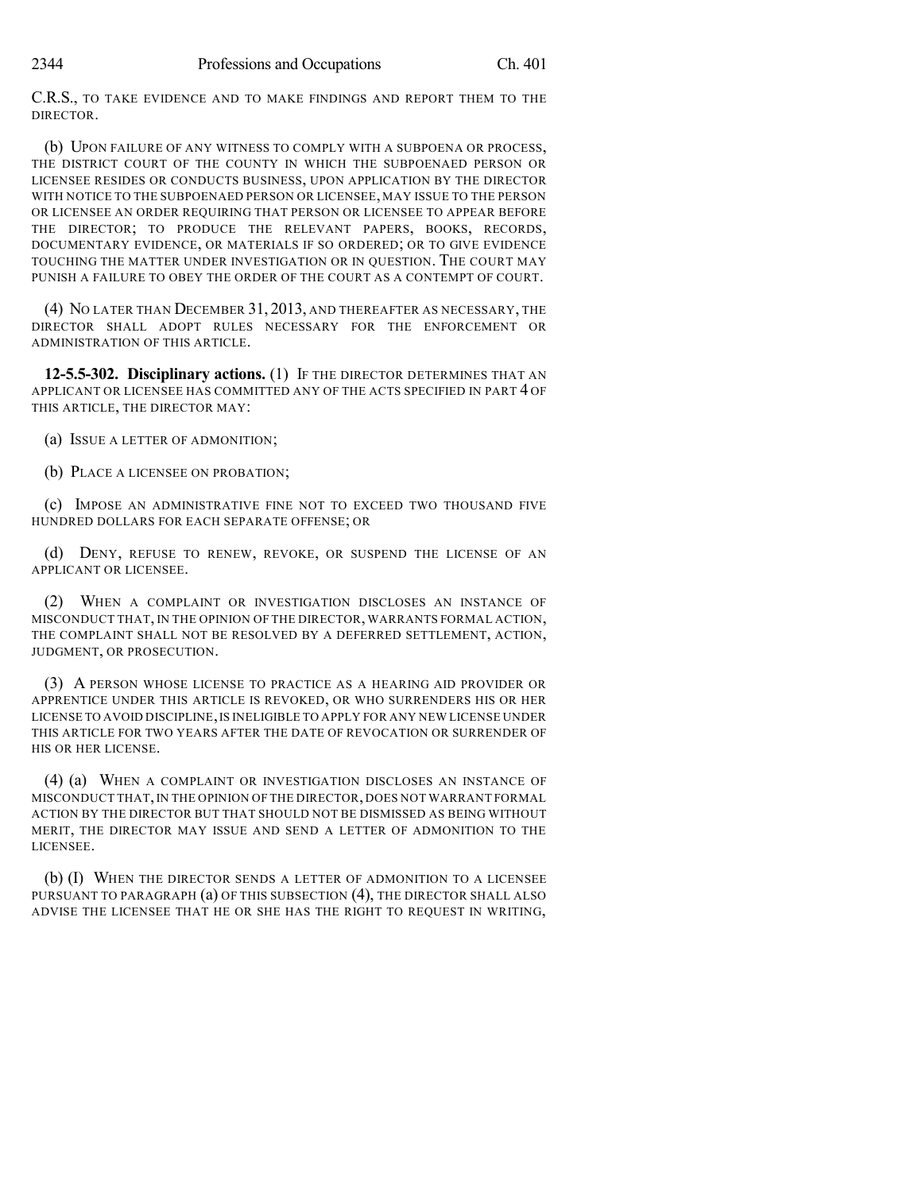C.R.S., TO TAKE EVIDENCE AND TO MAKE FINDINGS AND REPORT THEM TO THE DIRECTOR.

(b) UPON FAILURE OF ANY WITNESS TO COMPLY WITH A SUBPOENA OR PROCESS, THE DISTRICT COURT OF THE COUNTY IN WHICH THE SUBPOENAED PERSON OR LICENSEE RESIDES OR CONDUCTS BUSINESS, UPON APPLICATION BY THE DIRECTOR WITH NOTICE TO THE SUBPOENAED PERSON OR LICENSEE, MAY ISSUE TO THE PERSON OR LICENSEE AN ORDER REQUIRING THAT PERSON OR LICENSEE TO APPEAR BEFORE THE DIRECTOR; TO PRODUCE THE RELEVANT PAPERS, BOOKS, RECORDS, DOCUMENTARY EVIDENCE, OR MATERIALS IF SO ORDERED; OR TO GIVE EVIDENCE TOUCHING THE MATTER UNDER INVESTIGATION OR IN QUESTION. THE COURT MAY PUNISH A FAILURE TO OBEY THE ORDER OF THE COURT AS A CONTEMPT OF COURT.

(4) NO LATER THAN DECEMBER 31, 2013, AND THEREAFTER AS NECESSARY, THE DIRECTOR SHALL ADOPT RULES NECESSARY FOR THE ENFORCEMENT OR ADMINISTRATION OF THIS ARTICLE.

**12-5.5-302. Disciplinary actions.** (1) IF THE DIRECTOR DETERMINES THAT AN APPLICANT OR LICENSEE HAS COMMITTED ANY OF THE ACTS SPECIFIED IN PART 4 OF THIS ARTICLE, THE DIRECTOR MAY:

(a) ISSUE A LETTER OF ADMONITION;

(b) PLACE A LICENSEE ON PROBATION;

(c) IMPOSE AN ADMINISTRATIVE FINE NOT TO EXCEED TWO THOUSAND FIVE HUNDRED DOLLARS FOR EACH SEPARATE OFFENSE; OR

(d) DENY, REFUSE TO RENEW, REVOKE, OR SUSPEND THE LICENSE OF AN APPLICANT OR LICENSEE.

(2) WHEN A COMPLAINT OR INVESTIGATION DISCLOSES AN INSTANCE OF MISCONDUCT THAT, IN THE OPINION OF THE DIRECTOR, WARRANTS FORMAL ACTION, THE COMPLAINT SHALL NOT BE RESOLVED BY A DEFERRED SETTLEMENT, ACTION, JUDGMENT, OR PROSECUTION.

(3) A PERSON WHOSE LICENSE TO PRACTICE AS A HEARING AID PROVIDER OR APPRENTICE UNDER THIS ARTICLE IS REVOKED, OR WHO SURRENDERS HIS OR HER LICENSE TO AVOID DISCIPLINE,IS INELIGIBLE TO APPLY FOR ANY NEW LICENSE UNDER THIS ARTICLE FOR TWO YEARS AFTER THE DATE OF REVOCATION OR SURRENDER OF HIS OR HER LICENSE.

(4) (a) WHEN A COMPLAINT OR INVESTIGATION DISCLOSES AN INSTANCE OF MISCONDUCT THAT,IN THE OPINION OF THE DIRECTOR, DOES NOT WARRANT FORMAL ACTION BY THE DIRECTOR BUT THAT SHOULD NOT BE DISMISSED AS BEING WITHOUT MERIT, THE DIRECTOR MAY ISSUE AND SEND A LETTER OF ADMONITION TO THE LICENSEE.

(b) (I) WHEN THE DIRECTOR SENDS A LETTER OF ADMONITION TO A LICENSEE PURSUANT TO PARAGRAPH (a) OF THIS SUBSECTION (4), THE DIRECTOR SHALL ALSO ADVISE THE LICENSEE THAT HE OR SHE HAS THE RIGHT TO REQUEST IN WRITING,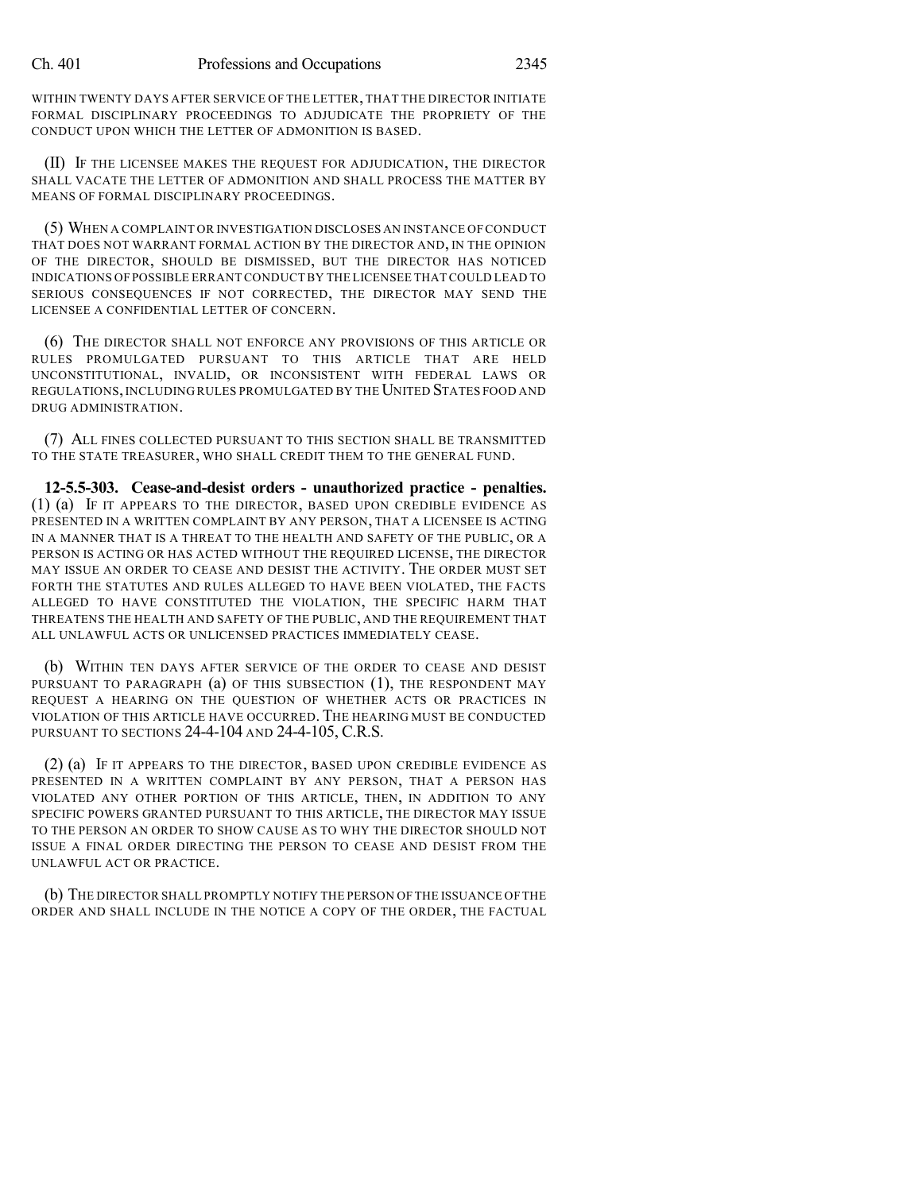WITHIN TWENTY DAYS AFTER SERVICE OF THE LETTER, THAT THE DIRECTOR INITIATE FORMAL DISCIPLINARY PROCEEDINGS TO ADJUDICATE THE PROPRIETY OF THE CONDUCT UPON WHICH THE LETTER OF ADMONITION IS BASED.

(II) IF THE LICENSEE MAKES THE REQUEST FOR ADJUDICATION, THE DIRECTOR SHALL VACATE THE LETTER OF ADMONITION AND SHALL PROCESS THE MATTER BY MEANS OF FORMAL DISCIPLINARY PROCEEDINGS.

(5) WHEN A COMPLAINT OR INVESTIGATION DISCLOSES AN INSTANCE OF CONDUCT THAT DOES NOT WARRANT FORMAL ACTION BY THE DIRECTOR AND, IN THE OPINION OF THE DIRECTOR, SHOULD BE DISMISSED, BUT THE DIRECTOR HAS NOTICED INDICATIONS OF POSSIBLE ERRANT CONDUCTBY THE LICENSEE THAT COULD LEAD TO SERIOUS CONSEQUENCES IF NOT CORRECTED, THE DIRECTOR MAY SEND THE LICENSEE A CONFIDENTIAL LETTER OF CONCERN.

(6) THE DIRECTOR SHALL NOT ENFORCE ANY PROVISIONS OF THIS ARTICLE OR RULES PROMULGATED PURSUANT TO THIS ARTICLE THAT ARE HELD UNCONSTITUTIONAL, INVALID, OR INCONSISTENT WITH FEDERAL LAWS OR REGULATIONS, INCLUDING RULES PROMULGATED BY THE UNITED STATES FOOD AND DRUG ADMINISTRATION.

(7) ALL FINES COLLECTED PURSUANT TO THIS SECTION SHALL BE TRANSMITTED TO THE STATE TREASURER, WHO SHALL CREDIT THEM TO THE GENERAL FUND.

**12-5.5-303. Cease-and-desist orders - unauthorized practice - penalties.** (1) (a) IF IT APPEARS TO THE DIRECTOR, BASED UPON CREDIBLE EVIDENCE AS PRESENTED IN A WRITTEN COMPLAINT BY ANY PERSON, THAT A LICENSEE IS ACTING IN A MANNER THAT IS A THREAT TO THE HEALTH AND SAFETY OF THE PUBLIC, OR A PERSON IS ACTING OR HAS ACTED WITHOUT THE REQUIRED LICENSE, THE DIRECTOR MAY ISSUE AN ORDER TO CEASE AND DESIST THE ACTIVITY. THE ORDER MUST SET FORTH THE STATUTES AND RULES ALLEGED TO HAVE BEEN VIOLATED, THE FACTS ALLEGED TO HAVE CONSTITUTED THE VIOLATION, THE SPECIFIC HARM THAT THREATENS THE HEALTH AND SAFETY OF THE PUBLIC, AND THE REQUIREMENT THAT ALL UNLAWFUL ACTS OR UNLICENSED PRACTICES IMMEDIATELY CEASE.

(b) WITHIN TEN DAYS AFTER SERVICE OF THE ORDER TO CEASE AND DESIST PURSUANT TO PARAGRAPH (a) OF THIS SUBSECTION (1), THE RESPONDENT MAY REQUEST A HEARING ON THE QUESTION OF WHETHER ACTS OR PRACTICES IN VIOLATION OF THIS ARTICLE HAVE OCCURRED. THE HEARING MUST BE CONDUCTED PURSUANT TO SECTIONS 24-4-104 AND 24-4-105, C.R.S.

(2) (a) IF IT APPEARS TO THE DIRECTOR, BASED UPON CREDIBLE EVIDENCE AS PRESENTED IN A WRITTEN COMPLAINT BY ANY PERSON, THAT A PERSON HAS VIOLATED ANY OTHER PORTION OF THIS ARTICLE, THEN, IN ADDITION TO ANY SPECIFIC POWERS GRANTED PURSUANT TO THIS ARTICLE, THE DIRECTOR MAY ISSUE TO THE PERSON AN ORDER TO SHOW CAUSE AS TO WHY THE DIRECTOR SHOULD NOT ISSUE A FINAL ORDER DIRECTING THE PERSON TO CEASE AND DESIST FROM THE UNLAWFUL ACT OR PRACTICE.

(b) THE DIRECTOR SHALL PROMPTLY NOTIFY THE PERSON OF THE ISSUANCE OF THE ORDER AND SHALL INCLUDE IN THE NOTICE A COPY OF THE ORDER, THE FACTUAL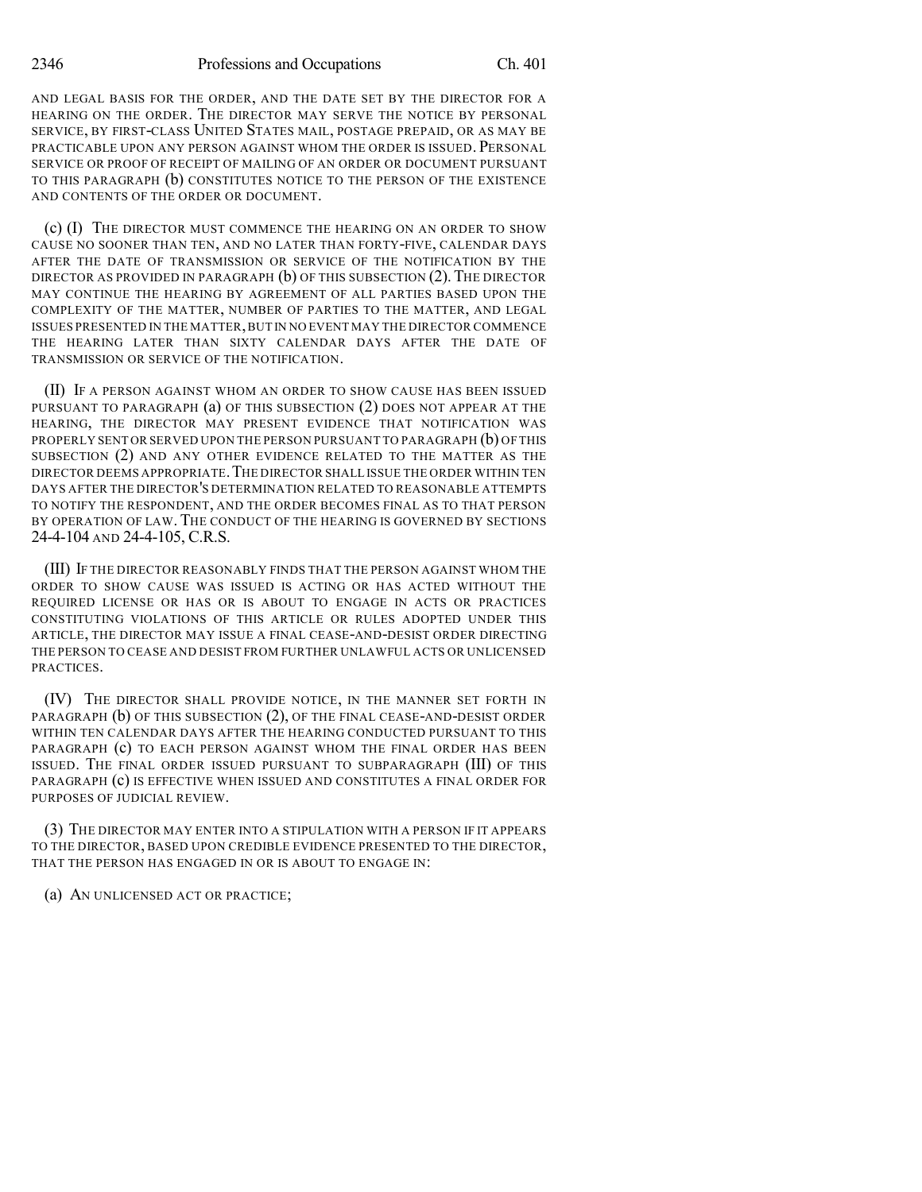AND LEGAL BASIS FOR THE ORDER, AND THE DATE SET BY THE DIRECTOR FOR A HEARING ON THE ORDER. THE DIRECTOR MAY SERVE THE NOTICE BY PERSONAL SERVICE, BY FIRST-CLASS UNITED STATES MAIL, POSTAGE PREPAID, OR AS MAY BE PRACTICABLE UPON ANY PERSON AGAINST WHOM THE ORDER IS ISSUED. PERSONAL SERVICE OR PROOF OF RECEIPT OF MAILING OF AN ORDER OR DOCUMENT PURSUANT TO THIS PARAGRAPH (b) CONSTITUTES NOTICE TO THE PERSON OF THE EXISTENCE AND CONTENTS OF THE ORDER OR DOCUMENT.

(c) (I) THE DIRECTOR MUST COMMENCE THE HEARING ON AN ORDER TO SHOW CAUSE NO SOONER THAN TEN, AND NO LATER THAN FORTY-FIVE, CALENDAR DAYS AFTER THE DATE OF TRANSMISSION OR SERVICE OF THE NOTIFICATION BY THE DIRECTOR AS PROVIDED IN PARAGRAPH  $(b)$  of this subsection (2). The director MAY CONTINUE THE HEARING BY AGREEMENT OF ALL PARTIES BASED UPON THE COMPLEXITY OF THE MATTER, NUMBER OF PARTIES TO THE MATTER, AND LEGAL ISSUES PRESENTED IN THE MATTER,BUT IN NO EVENT MAY THE DIRECTOR COMMENCE THE HEARING LATER THAN SIXTY CALENDAR DAYS AFTER THE DATE OF TRANSMISSION OR SERVICE OF THE NOTIFICATION.

(II) IF A PERSON AGAINST WHOM AN ORDER TO SHOW CAUSE HAS BEEN ISSUED PURSUANT TO PARAGRAPH (a) OF THIS SUBSECTION (2) DOES NOT APPEAR AT THE HEARING, THE DIRECTOR MAY PRESENT EVIDENCE THAT NOTIFICATION WAS PROPERLY SENT OR SERVED UPON THE PERSON PURSUANT TO PARAGRAPH (b) OF THIS SUBSECTION (2) AND ANY OTHER EVIDENCE RELATED TO THE MATTER AS THE DIRECTOR DEEMS APPROPRIATE.THE DIRECTOR SHALL ISSUE THE ORDER WITHIN TEN DAYS AFTER THE DIRECTOR'S DETERMINATION RELATED TO REASONABLE ATTEMPTS TO NOTIFY THE RESPONDENT, AND THE ORDER BECOMES FINAL AS TO THAT PERSON BY OPERATION OF LAW. THE CONDUCT OF THE HEARING IS GOVERNED BY SECTIONS 24-4-104 AND 24-4-105, C.R.S.

(III) IF THE DIRECTOR REASONABLY FINDS THAT THE PERSON AGAINST WHOM THE ORDER TO SHOW CAUSE WAS ISSUED IS ACTING OR HAS ACTED WITHOUT THE REQUIRED LICENSE OR HAS OR IS ABOUT TO ENGAGE IN ACTS OR PRACTICES CONSTITUTING VIOLATIONS OF THIS ARTICLE OR RULES ADOPTED UNDER THIS ARTICLE, THE DIRECTOR MAY ISSUE A FINAL CEASE-AND-DESIST ORDER DIRECTING THE PERSON TO CEASE AND DESIST FROM FURTHER UNLAWFUL ACTS OR UNLICENSED PRACTICES.

(IV) THE DIRECTOR SHALL PROVIDE NOTICE, IN THE MANNER SET FORTH IN PARAGRAPH (b) OF THIS SUBSECTION (2), OF THE FINAL CEASE-AND-DESIST ORDER WITHIN TEN CALENDAR DAYS AFTER THE HEARING CONDUCTED PURSUANT TO THIS PARAGRAPH (c) TO EACH PERSON AGAINST WHOM THE FINAL ORDER HAS BEEN ISSUED. THE FINAL ORDER ISSUED PURSUANT TO SUBPARAGRAPH (III) OF THIS PARAGRAPH (c) IS EFFECTIVE WHEN ISSUED AND CONSTITUTES A FINAL ORDER FOR PURPOSES OF JUDICIAL REVIEW.

(3) THE DIRECTOR MAY ENTER INTO A STIPULATION WITH A PERSON IF IT APPEARS TO THE DIRECTOR, BASED UPON CREDIBLE EVIDENCE PRESENTED TO THE DIRECTOR, THAT THE PERSON HAS ENGAGED IN OR IS ABOUT TO ENGAGE IN:

(a) AN UNLICENSED ACT OR PRACTICE;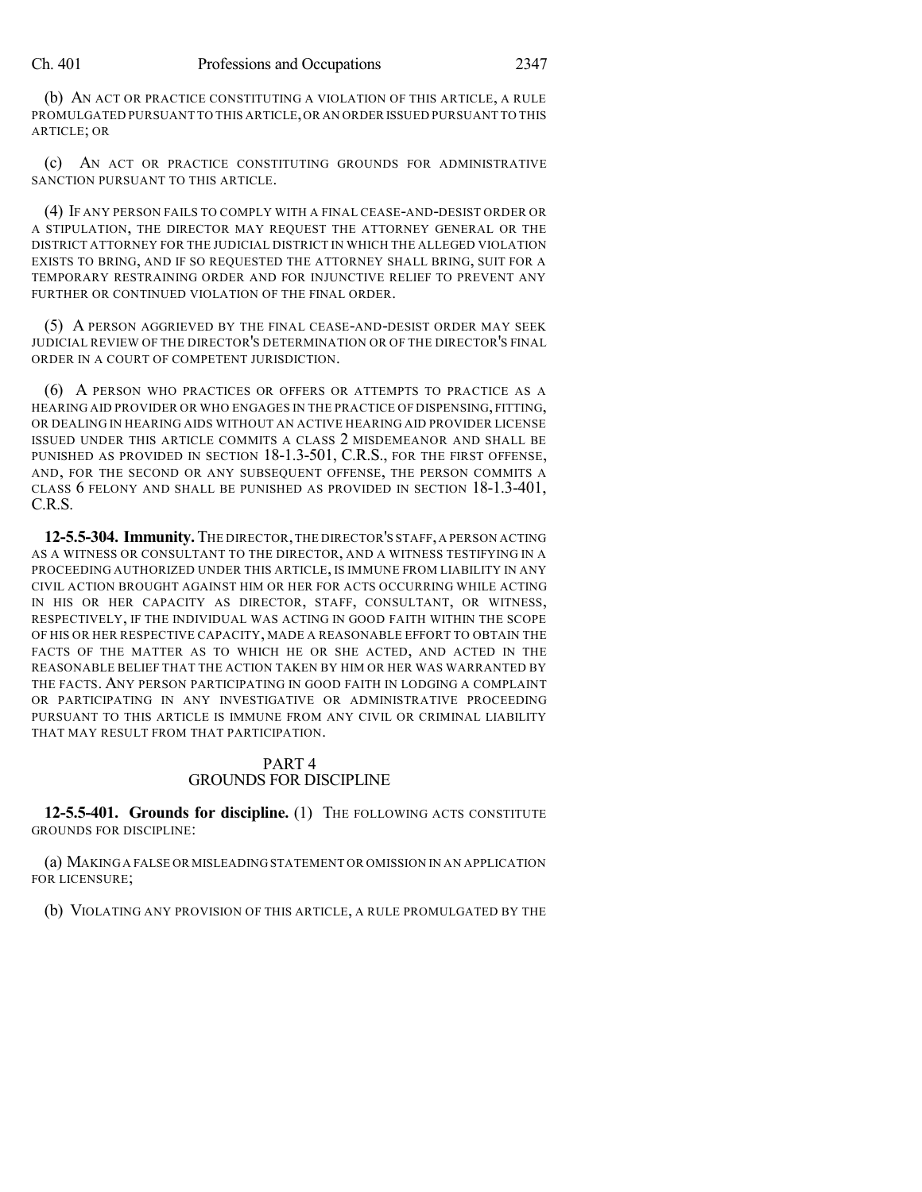#### Ch. 401 Professions and Occupations 2347

(b) AN ACT OR PRACTICE CONSTITUTING A VIOLATION OF THIS ARTICLE, A RULE PROMULGATED PURSUANT TO THIS ARTICLE,OR AN ORDER ISSUED PURSUANT TO THIS ARTICLE; OR

(c) AN ACT OR PRACTICE CONSTITUTING GROUNDS FOR ADMINISTRATIVE SANCTION PURSUANT TO THIS ARTICLE.

(4) IF ANY PERSON FAILS TO COMPLY WITH A FINAL CEASE-AND-DESIST ORDER OR A STIPULATION, THE DIRECTOR MAY REQUEST THE ATTORNEY GENERAL OR THE DISTRICT ATTORNEY FOR THE JUDICIAL DISTRICT IN WHICH THE ALLEGED VIOLATION EXISTS TO BRING, AND IF SO REQUESTED THE ATTORNEY SHALL BRING, SUIT FOR A TEMPORARY RESTRAINING ORDER AND FOR INJUNCTIVE RELIEF TO PREVENT ANY FURTHER OR CONTINUED VIOLATION OF THE FINAL ORDER.

(5) A PERSON AGGRIEVED BY THE FINAL CEASE-AND-DESIST ORDER MAY SEEK JUDICIAL REVIEW OF THE DIRECTOR'S DETERMINATION OR OF THE DIRECTOR'S FINAL ORDER IN A COURT OF COMPETENT JURISDICTION.

(6) A PERSON WHO PRACTICES OR OFFERS OR ATTEMPTS TO PRACTICE AS A HEARING AID PROVIDER OR WHO ENGAGES IN THE PRACTICE OF DISPENSING, FITTING, OR DEALING IN HEARING AIDS WITHOUT AN ACTIVE HEARING AID PROVIDER LICENSE ISSUED UNDER THIS ARTICLE COMMITS A CLASS 2 MISDEMEANOR AND SHALL BE PUNISHED AS PROVIDED IN SECTION 18-1.3-501, C.R.S., FOR THE FIRST OFFENSE, AND, FOR THE SECOND OR ANY SUBSEQUENT OFFENSE, THE PERSON COMMITS A CLASS 6 FELONY AND SHALL BE PUNISHED AS PROVIDED IN SECTION 18-1.3-401, C.R.S.

**12-5.5-304. Immunity.**THE DIRECTOR,THE DIRECTOR'S STAFF,A PERSON ACTING AS A WITNESS OR CONSULTANT TO THE DIRECTOR, AND A WITNESS TESTIFYING IN A PROCEEDING AUTHORIZED UNDER THIS ARTICLE, IS IMMUNE FROM LIABILITY IN ANY CIVIL ACTION BROUGHT AGAINST HIM OR HER FOR ACTS OCCURRING WHILE ACTING IN HIS OR HER CAPACITY AS DIRECTOR, STAFF, CONSULTANT, OR WITNESS, RESPECTIVELY, IF THE INDIVIDUAL WAS ACTING IN GOOD FAITH WITHIN THE SCOPE OF HIS OR HER RESPECTIVE CAPACITY, MADE A REASONABLE EFFORT TO OBTAIN THE FACTS OF THE MATTER AS TO WHICH HE OR SHE ACTED, AND ACTED IN THE REASONABLE BELIEF THAT THE ACTION TAKEN BY HIM OR HER WAS WARRANTED BY THE FACTS. ANY PERSON PARTICIPATING IN GOOD FAITH IN LODGING A COMPLAINT OR PARTICIPATING IN ANY INVESTIGATIVE OR ADMINISTRATIVE PROCEEDING PURSUANT TO THIS ARTICLE IS IMMUNE FROM ANY CIVIL OR CRIMINAL LIABILITY THAT MAY RESULT FROM THAT PARTICIPATION.

### PART 4 GROUNDS FOR DISCIPLINE

**12-5.5-401. Grounds for discipline.** (1) THE FOLLOWING ACTS CONSTITUTE GROUNDS FOR DISCIPLINE:

(a) MAKING A FALSE OR MISLEADING STATEMENT OR OMISSION IN AN APPLICATION FOR LICENSURE;

(b) VIOLATING ANY PROVISION OF THIS ARTICLE, A RULE PROMULGATED BY THE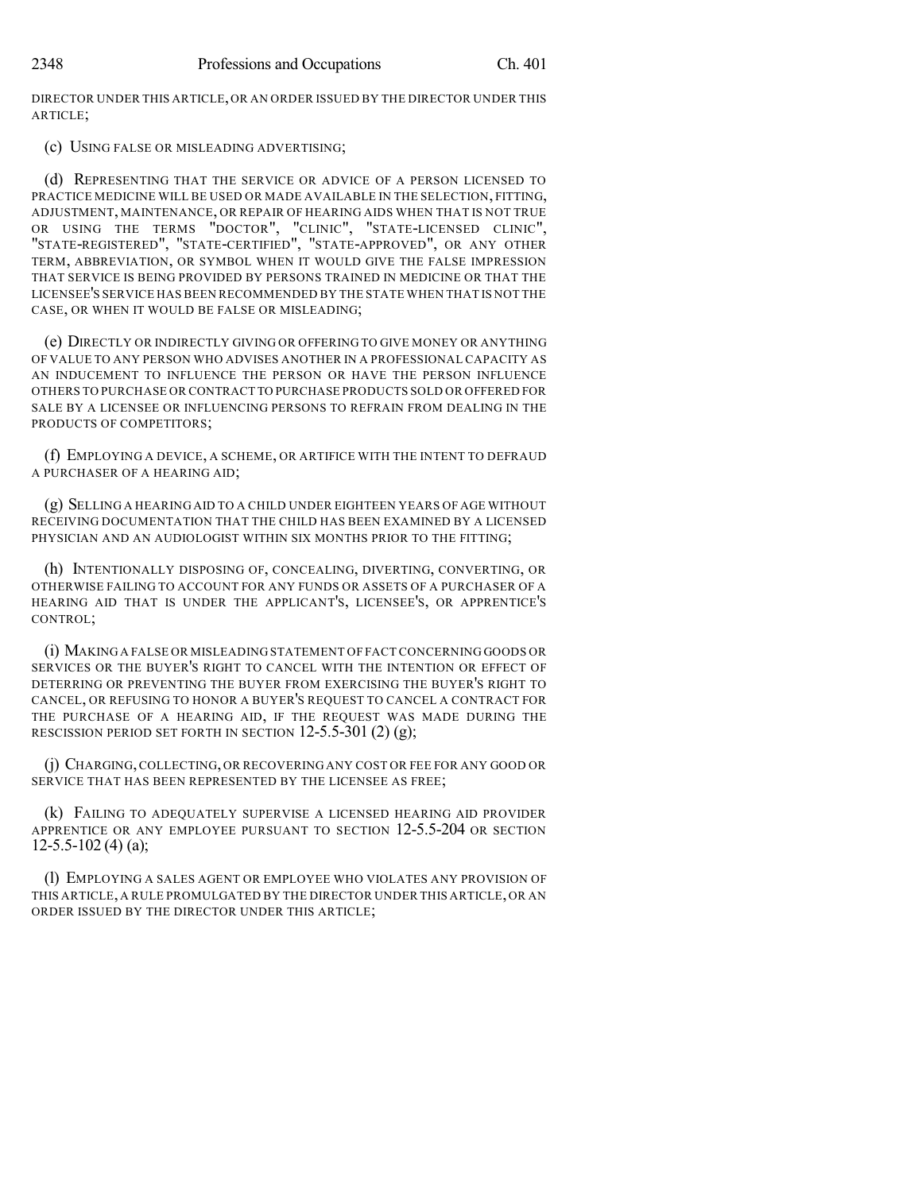DIRECTOR UNDER THIS ARTICLE,OR AN ORDER ISSUED BY THE DIRECTOR UNDER THIS ARTICLE;

(c) USING FALSE OR MISLEADING ADVERTISING;

(d) REPRESENTING THAT THE SERVICE OR ADVICE OF A PERSON LICENSED TO PRACTICE MEDICINE WILL BE USED OR MADE AVAILABLE IN THE SELECTION, FITTING, ADJUSTMENT, MAINTENANCE, OR REPAIR OF HEARING AIDS WHEN THAT IS NOT TRUE OR USING THE TERMS "DOCTOR", "CLINIC", "STATE-LICENSED CLINIC", "STATE-REGISTERED", "STATE-CERTIFIED", "STATE-APPROVED", OR ANY OTHER TERM, ABBREVIATION, OR SYMBOL WHEN IT WOULD GIVE THE FALSE IMPRESSION THAT SERVICE IS BEING PROVIDED BY PERSONS TRAINED IN MEDICINE OR THAT THE LICENSEE'S SERVICE HAS BEEN RECOMMENDED BY THE STATE WHEN THAT IS NOT THE CASE, OR WHEN IT WOULD BE FALSE OR MISLEADING;

(e) DIRECTLY OR INDIRECTLY GIVING OR OFFERING TO GIVE MONEY OR ANYTHING OF VALUE TO ANY PERSON WHO ADVISES ANOTHER IN A PROFESSIONAL CAPACITY AS AN INDUCEMENT TO INFLUENCE THE PERSON OR HAVE THE PERSON INFLUENCE OTHERS TO PURCHASE OR CONTRACT TO PURCHASE PRODUCTS SOLD OR OFFERED FOR SALE BY A LICENSEE OR INFLUENCING PERSONS TO REFRAIN FROM DEALING IN THE PRODUCTS OF COMPETITORS;

(f) EMPLOYING A DEVICE, A SCHEME, OR ARTIFICE WITH THE INTENT TO DEFRAUD A PURCHASER OF A HEARING AID;

(g) SELLING A HEARING AID TO A CHILD UNDER EIGHTEEN YEARS OF AGE WITHOUT RECEIVING DOCUMENTATION THAT THE CHILD HAS BEEN EXAMINED BY A LICENSED PHYSICIAN AND AN AUDIOLOGIST WITHIN SIX MONTHS PRIOR TO THE FITTING;

(h) INTENTIONALLY DISPOSING OF, CONCEALING, DIVERTING, CONVERTING, OR OTHERWISE FAILING TO ACCOUNT FOR ANY FUNDS OR ASSETS OF A PURCHASER OF A HEARING AID THAT IS UNDER THE APPLICANT'S, LICENSEE'S, OR APPRENTICE'S CONTROL;

(i) MAKING A FALSE OR MISLEADING STATEMENT OF FACT CONCERNING GOODS OR SERVICES OR THE BUYER'S RIGHT TO CANCEL WITH THE INTENTION OR EFFECT OF DETERRING OR PREVENTING THE BUYER FROM EXERCISING THE BUYER'S RIGHT TO CANCEL, OR REFUSING TO HONOR A BUYER'S REQUEST TO CANCEL A CONTRACT FOR THE PURCHASE OF A HEARING AID, IF THE REQUEST WAS MADE DURING THE RESCISSION PERIOD SET FORTH IN SECTION  $12-5.5-301(2)(g)$ ;

(j) CHARGING,COLLECTING, OR RECOVERING ANY COST OR FEE FOR ANY GOOD OR SERVICE THAT HAS BEEN REPRESENTED BY THE LICENSEE AS FREE;

(k) FAILING TO ADEQUATELY SUPERVISE A LICENSED HEARING AID PROVIDER APPRENTICE OR ANY EMPLOYEE PURSUANT TO SECTION 12-5.5-204 OR SECTION  $12 - 5.5 - 102(4)$  (a);

(l) EMPLOYING A SALES AGENT OR EMPLOYEE WHO VIOLATES ANY PROVISION OF THIS ARTICLE, A RULE PROMULGATED BY THE DIRECTOR UNDER THIS ARTICLE, OR AN ORDER ISSUED BY THE DIRECTOR UNDER THIS ARTICLE;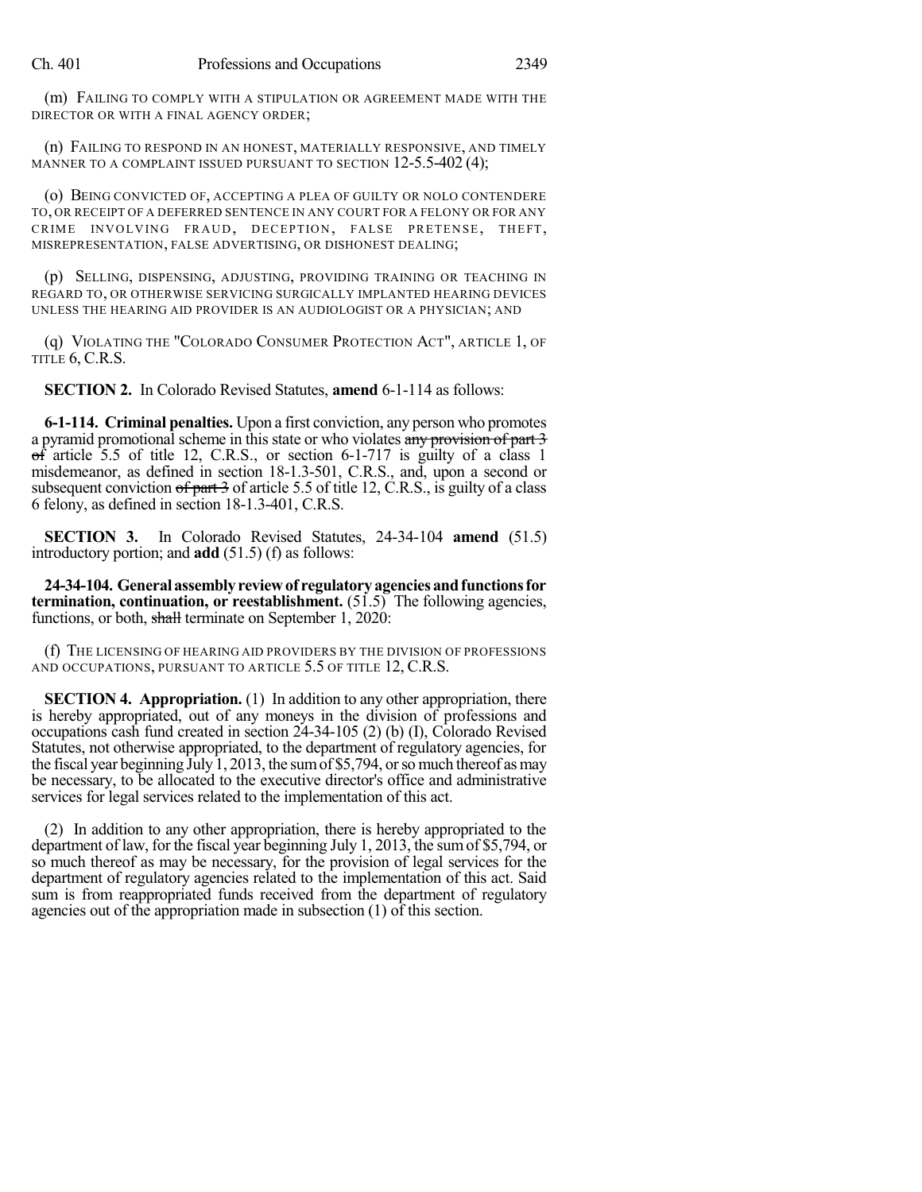(m) FAILING TO COMPLY WITH A STIPULATION OR AGREEMENT MADE WITH THE DIRECTOR OR WITH A FINAL AGENCY ORDER;

(n) FAILING TO RESPOND IN AN HONEST, MATERIALLY RESPONSIVE, AND TIMELY MANNER TO A COMPLAINT ISSUED PURSUANT TO SECTION 12-5.5-402 (4);

(o) BEING CONVICTED OF, ACCEPTING A PLEA OF GUILTY OR NOLO CONTENDERE TO, OR RECEIPT OF A DEFERRED SENTENCE IN ANY COURT FOR A FELONY OR FOR ANY CRIME INVOLVING FRAUD, DECEPTION, FALSE PRETENSE, THEFT, MISREPRESENTATION, FALSE ADVERTISING, OR DISHONEST DEALING;

(p) SELLING, DISPENSING, ADJUSTING, PROVIDING TRAINING OR TEACHING IN REGARD TO, OR OTHERWISE SERVICING SURGICALLY IMPLANTED HEARING DEVICES UNLESS THE HEARING AID PROVIDER IS AN AUDIOLOGIST OR A PHYSICIAN; AND

(q) VIOLATING THE "COLORADO CONSUMER PROTECTION ACT", ARTICLE 1, OF TITLE 6, C.R.S.

**SECTION 2.** In Colorado Revised Statutes, **amend** 6-1-114 as follows:

**6-1-114. Criminal penalties.** Upon a first conviction, any person who promotes a pyramid promotional scheme in this state or who violates any provision of part 3  $\overrightarrow{f}$  article 5.5 of title 12, C.R.S., or section 6-1-717 is guilty of a class 1 misdemeanor, as defined in section 18-1.3-501, C.R.S., and, upon a second or subsequent conviction  $\sigma f$  part 3 of article 5.5 of title 12, C.R.S., is guilty of a class 6 felony, as defined in section 18-1.3-401, C.R.S.

**SECTION 3.** In Colorado Revised Statutes, 24-34-104 **amend** (51.5) introductory portion; and **add** (51.5) (f) as follows:

**24-34-104. General assemblyreviewof regulatoryagenciesandfunctionsfor termination, continuation, or reestablishment.** (51.5) The following agencies, functions, or both, shall terminate on September 1, 2020:

(f) THE LICENSING OF HEARING AID PROVIDERS BY THE DIVISION OF PROFESSIONS AND OCCUPATIONS, PURSUANT TO ARTICLE 5.5 OF TITLE 12, C.R.S.

**SECTION 4. Appropriation.** (1) In addition to any other appropriation, there is hereby appropriated, out of any moneys in the division of professions and occupations cash fund created in section 24-34-105 (2) (b) (I), Colorado Revised Statutes, not otherwise appropriated, to the department of regulatory agencies, for the fiscal year beginning July1, 2013, the sumof \$5,794, orso much thereof asmay be necessary, to be allocated to the executive director's office and administrative services for legal services related to the implementation of this act.

(2) In addition to any other appropriation, there is hereby appropriated to the department of law, for the fiscal year beginning July 1, 2013, the sumof \$5,794, or so much thereof as may be necessary, for the provision of legal services for the department of regulatory agencies related to the implementation of this act. Said sum is from reappropriated funds received from the department of regulatory agencies out of the appropriation made in subsection (1) of this section.